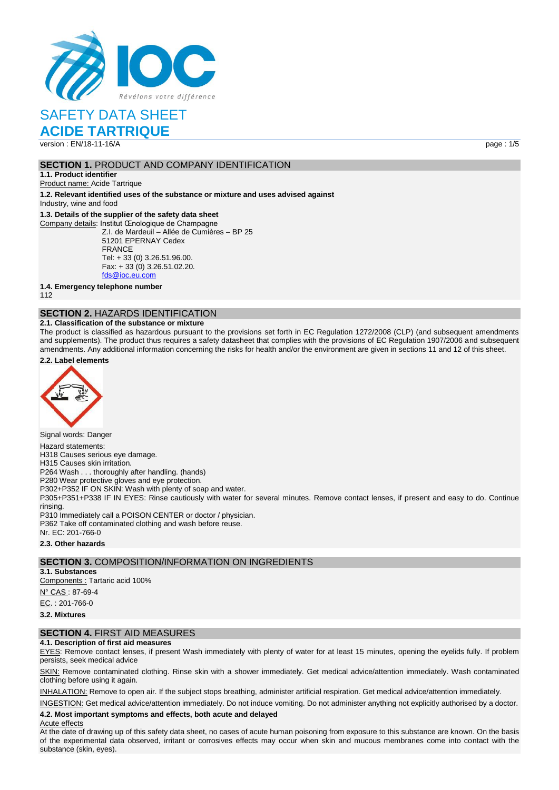

**ACIDE TARTRIQUE**

version : EN/18-11-16/A page : 1/5

### **SECTION 1. PRODUCT AND COMPANY IDENTIFICATION**

**1.1. Product identifier** Product name: Acide Tartrique

**1.2. Relevant identified uses of the substance or mixture and uses advised against**

Industry, wine and food

### **1.3. Details of the supplier of the safety data sheet**

Company details: Institut Œnologique de Champagne Z.I. de Mardeuil – Allée de Cumières – BP 25 51201 EPERNAY Cedex FRANCE Tel: + 33 (0) 3.26.51.96.00. Fax: + 33 (0) 3.26.51.02.20. [fds@ioc.eu.com](mailto:fds@ioc.eu.com)

**1.4. Emergency telephone number**

112

### **SECTION 2.** HAZARDS IDENTIFICATION

### **2.1. Classification of the substance or mixture**

The product is classified as hazardous pursuant to the provisions set forth in EC Regulation 1272/2008 (CLP) (and subsequent amendments and supplements). The product thus requires a safety datasheet that complies with the provisions of EC Regulation 1907/2006 and subsequent amendments. Any additional information concerning the risks for health and/or the environment are given in sections 11 and 12 of this sheet.

### **2.2. Label elements**



Signal words: Danger Hazard statements: H318 Causes serious eye damage. H315 Causes skin irritation. P264 Wash . . . thoroughly after handling. (hands) P280 Wear protective gloves and eye protection. P302+P352 IF ON SKIN: Wash with plenty of soap and water. P305+P351+P338 IF IN EYES: Rinse cautiously with water for several minutes. Remove contact lenses, if present and easy to do. Continue rinsing. P310 Immediately call a POISON CENTER or doctor / physician. P362 Take off contaminated clothing and wash before reuse. Nr. EC: 201-766-0 **2.3. Other hazards**

### **SECTION 3.** COMPOSITION/INFORMATION ON INGREDIENTS

**3.1. Substances** Components : Tartaric acid 100% N° CAS : 87-69-4

EC. : 201-766-0

**3.2. Mixtures**

### **SECTION 4.** FIRST AID MEASURES

### **4.1. Description of first aid measures**

EYES: Remove contact lenses, if present Wash immediately with plenty of water for at least 15 minutes, opening the eyelids fully. If problem persists, seek medical advice

SKIN: Remove contaminated clothing. Rinse skin with a shower immediately. Get medical advice/attention immediately. Wash contaminated clothing before using it again.

INHALATION: Remove to open air. If the subject stops breathing, administer artificial respiration. Get medical advice/attention immediately.

INGESTION: Get medical advice/attention immediately. Do not induce vomiting. Do not administer anything not explicitly authorised by a doctor. **4.2. Most important symptoms and effects, both acute and delayed**

### Acute effects

At the date of drawing up of this safety data sheet, no cases of acute human poisoning from exposure to this substance are known. On the basis of the experimental data observed, irritant or corrosives effects may occur when skin and mucous membranes come into contact with the substance (skin, eyes).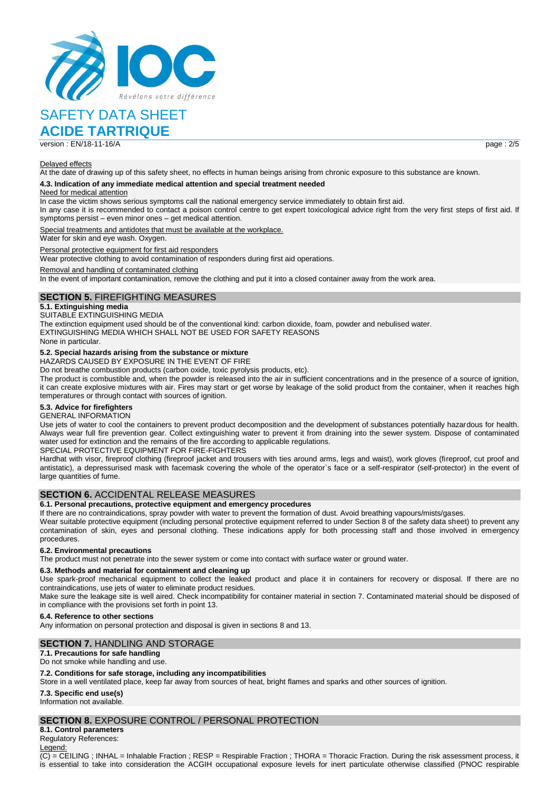

**ACIDE TARTRIQUE**

version : FN/18-11-16/A page : 2/5

### Delayed effects

At the date of drawing up of this safety sheet, no effects in human beings arising from chronic exposure to this substance are known.

### **4.3. Indication of any immediate medical attention and special treatment needed**

### Need for medical attention

In case the victim shows serious symptoms call the national emergency service immediately to obtain first aid. In any case it is recommended to contact a poison control centre to get expert toxicological advice right from the very first steps of first aid. If symptoms persist – even minor ones – get medical attention.

Special treatments and antidotes that must be available at the workplace.

Water for skin and eye wash. Oxygen.

Personal protective equipment for first aid responders

Wear protective clothing to avoid contamination of responders during first aid operations.

### Removal and handling of contaminated clothing

In the event of important contamination, remove the clothing and put it into a closed container away from the work area.

### **SECTION 5.** FIREFIGHTING MEASURES

### **5.1. Extinguishing media**

SUITABLE EXTINGUISHING MEDIA

The extinction equipment used should be of the conventional kind: carbon dioxide, foam, powder and nebulised water. EXTINGUISHING MEDIA WHICH SHALL NOT BE USED FOR SAFETY REASONS

None in particular.

### **5.2. Special hazards arising from the substance or mixture**

HAZARDS CAUSED BY EXPOSURE IN THE EVENT OF FIRE

Do not breathe combustion products (carbon oxide, toxic pyrolysis products, etc).

The product is combustible and, when the powder is released into the air in sufficient concentrations and in the presence of a source of ignition, it can create explosive mixtures with air. Fires may start or get worse by leakage of the solid product from the container, when it reaches high temperatures or through contact with sources of ignition.

### **5.3. Advice for firefighters**

GENERAL INFORMATION Use jets of water to cool the containers to prevent product decomposition and the development of substances potentially hazardous for health. Always wear full fire prevention gear. Collect extinguishing water to prevent it from draining into the sewer system. Dispose of contaminated water used for extinction and the remains of the fire according to applicable regulations.

#### SPECIAL PROTECTIVE EQUIPMENT FOR FIRE-FIGHTERS

Hardhat with visor, fireproof clothing (fireproof jacket and trousers with ties around arms, legs and waist), work gloves (fireproof, cut proof and antistatic), a depressurised mask with facemask covering the whole of the operator`s face or a self-respirator (self-protector) in the event of large quantities of fume.

### **SECTION 6.** ACCIDENTAL RELEASE MEASURES

#### **6.1. Personal precautions, protective equipment and emergency procedures**

If there are no contraindications, spray powder with water to prevent the formation of dust. Avoid breathing vapours/mists/gases.

Wear suitable protective equipment (including personal protective equipment referred to under Section 8 of the safety data sheet) to prevent any contamination of skin, eyes and personal clothing. These indications apply for both processing staff and those involved in emergency procedures.

### **6.2. Environmental precautions**

The product must not penetrate into the sewer system or come into contact with surface water or ground water.

### **6.3. Methods and material for containment and cleaning up**

Use spark-proof mechanical equipment to collect the leaked product and place it in containers for recovery or disposal. If there are no contraindications, use jets of water to eliminate product residues.

Make sure the leakage site is well aired. Check incompatibility for container material in section 7. Contaminated material should be disposed of in compliance with the provisions set forth in point 13.

### **6.4. Reference to other sections**

Any information on personal protection and disposal is given in sections 8 and 13.

### **SECTION 7.** HANDLING AND STORAGE

### **7.1. Precautions for safe handling**

Do not smoke while handling and use.

### **7.2. Conditions for safe storage, including any incompatibilities**

Store in a well ventilated place, keep far away from sources of heat, bright flames and sparks and other sources of ignition.

### **7.3. Specific end use(s)**

Information not available.

### **SECTION 8.** EXPOSURE CONTROL / PERSONAL PROTECTION

**8.1. Control parameters** Regulatory References: Legend  $\overline{(C)}$  = CEILING : INHAL = Inhalable Fraction ; RESP = Respirable Fraction ; THORA = Thoracic Fraction. During the risk assessment process, it is essential to take into consideration the ACGIH occupational exposure levels for inert particulate otherwise classified (PNOC respirable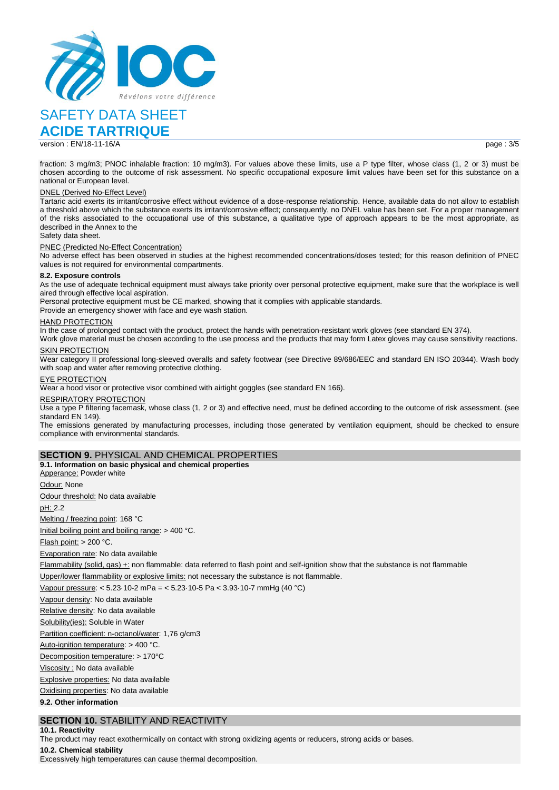

## **ACIDE TARTRIQUE**

version : FN/18-11-16/A page : 3/5

fraction: 3 mg/m3; PNOC inhalable fraction: 10 mg/m3). For values above these limits, use a P type filter, whose class (1, 2 or 3) must be chosen according to the outcome of risk assessment. No specific occupational exposure limit values have been set for this substance on a national or European level.

### DNEL (Derived No-Effect Level)

Tartaric acid exerts its irritant/corrosive effect without evidence of a dose-response relationship. Hence, available data do not allow to establish a threshold above which the substance exerts its irritant/corrosive effect; consequently, no DNEL value has been set. For a proper management of the risks associated to the occupational use of this substance, a qualitative type of approach appears to be the most appropriate, as described in the Annex to the

#### Safety data sheet.

#### PNEC (Predicted No-Effect Concentration)

No adverse effect has been observed in studies at the highest recommended concentrations/doses tested; for this reason definition of PNEC values is not required for environmental compartments.

### **8.2. Exposure controls**

As the use of adequate technical equipment must always take priority over personal protective equipment, make sure that the workplace is well aired through effective local aspiration.

Personal protective equipment must be CE marked, showing that it complies with applicable standards.

Provide an emergency shower with face and eye wash station.

#### HAND PROTECTION

In the case of prolonged contact with the product, protect the hands with penetration-resistant work gloves (see standard EN 374). Work glove material must be chosen according to the use process and the products that may form Latex gloves may cause sensitivity reactions.

### SKIN PROTECTION

Wear category II professional long-sleeved overalls and safety footwear (see Directive 89/686/EEC and standard EN ISO 20344). Wash body with soap and water after removing protective clothing.

#### EYE PROTECTION

Wear a hood visor or protective visor combined with airtight goggles (see standard EN 166).

### RESPIRATORY PROTECTION

Use a type P filtering facemask, whose class (1, 2 or 3) and effective need, must be defined according to the outcome of risk assessment. (see standard EN 149).

The emissions generated by manufacturing processes, including those generated by ventilation equipment, should be checked to ensure compliance with environmental standards.

### **SECTION 9.** PHYSICAL AND CHEMICAL PROPERTIES

#### **9.1. Information on basic physical and chemical properties**

Apperance: Powder white **Odour: None** Odour threshold: No data available pH: 2.2 Melting / freezing point: 168 °C Initial boiling point and boiling range: > 400 °C. Flash point: > 200 °C. Evaporation rate: No data available Flammability (solid, gas) +: non flammable: data referred to flash point and self-ignition show that the substance is not flammable Upper/lower flammability or explosive limits: not necessary the substance is not flammable. Vapour pressure: < 5.23·10-2 mPa = < 5.23·10-5 Pa < 3.93·10-7 mmHg (40 °C) Vapour density: No data available Relative density: No data available Solubility(ies): Soluble in Water Partition coefficient: n-octanol/water: 1,76 g/cm3 Auto-ignition temperature: > 400 °C. Decomposition temperature: > 170°C Viscosity : No data available Explosive properties: No data available Oxidising properties: No data available **9.2. Other information**

### **SECTION 10.** STABILITY AND REACTIVITY

**10.1. Reactivity**

The product may react exothermically on contact with strong oxidizing agents or reducers, strong acids or bases.

### **10.2. Chemical stability**

Excessively high temperatures can cause thermal decomposition.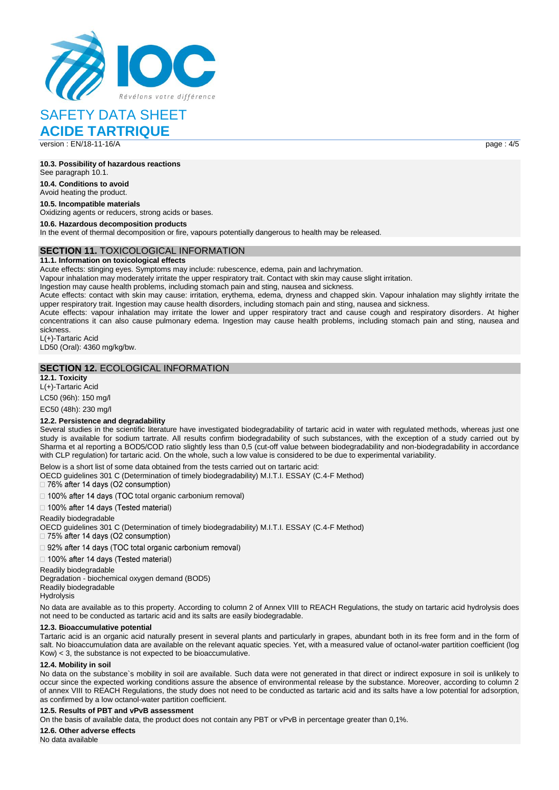

**ACIDE TARTRIQUE** version : FN/18-11-16/A page : 4/5

**10.3. Possibility of hazardous reactions**

See paragraph 10.1.

**10.4. Conditions to avoid** Avoid heating the product.

**10.5. Incompatible materials**

Oxidizing agents or reducers, strong acids or bases.

**10.6. Hazardous decomposition products**

In the event of thermal decomposition or fire, vapours potentially dangerous to health may be released.

### **SECTION 11.** TOXICOLOGICAL INFORMATION

**11.1. Information on toxicological effects**

Acute effects: stinging eyes. Symptoms may include: rubescence, edema, pain and lachrymation.

Vapour inhalation may moderately irritate the upper respiratory trait. Contact with skin may cause slight irritation.

Ingestion may cause health problems, including stomach pain and sting, nausea and sickness.

Acute effects: contact with skin may cause: irritation, erythema, edema, dryness and chapped skin. Vapour inhalation may slightly irritate the upper respiratory trait. Ingestion may cause health disorders, including stomach pain and sting, nausea and sickness.

Acute effects: vapour inhalation may irritate the lower and upper respiratory tract and cause cough and respiratory disorders. At higher concentrations it can also cause pulmonary edema. Ingestion may cause health problems, including stomach pain and sting, nausea and sickness.

L(+)-Tartaric Acid LD50 (Oral): 4360 mg/kg/bw.

### **SECTION 12.** ECOLOGICAL INFORMATION

**12.1. Toxicity** L(+)-Tartaric Acid LC50 (96h): 150 mg/l

EC50 (48h): 230 mg/l

### **12.2. Persistence and degradability**

Several studies in the scientific literature have investigated biodegradability of tartaric acid in water with regulated methods, whereas just one study is available for sodium tartrate. All results confirm biodegradability of such substances, with the exception of a study carried out by Sharma et al reporting a BOD5/COD ratio slightly less than 0,5 (cut-off value between biodegradability and non-biodegradability in accordance with CLP regulation) for tartaric acid. On the whole, such a low value is considered to be due to experimental variability.

Below is a short list of some data obtained from the tests carried out on tartaric acid:

OECD guidelines 301 C (Determination of timely biodegradability) M.I.T.I. ESSAY (C.4-F Method)

76% after 14 days (O2 consumption)

 $\Box$  100% after 14 days (TOC total organic carbonium removal)

□ 100% after 14 days (Tested material)

Readily biodegradable

OECD guidelines 301 C (Determination of timely biodegradability) M.I.T.I. ESSAY (C.4-F Method)

75% after 14 days (O2 consumption)

□ 92% after 14 days (TOC total organic carbonium removal)

□ 100% after 14 days (Tested material)

Readily biodegradable

Degradation - biochemical oxygen demand (BOD5) Readily biodegradable Hydrolysis

No data are available as to this property. According to column 2 of Annex VIII to REACH Regulations, the study on tartaric acid hydrolysis does not need to be conducted as tartaric acid and its salts are easily biodegradable.

### **12.3. Bioaccumulative potential**

Tartaric acid is an organic acid naturally present in several plants and particularly in grapes, abundant both in its free form and in the form of salt. No bioaccumulation data are available on the relevant aquatic species. Yet, with a measured value of octanol-water partition coefficient (log Kow) < 3, the substance is not expected to be bioaccumulative.

### **12.4. Mobility in soil**

No data on the substance`s mobility in soil are available. Such data were not generated in that direct or indirect exposure in soil is unlikely to occur since the expected working conditions assure the absence of environmental release by the substance. Moreover, according to column 2 of annex VIII to REACH Regulations, the study does not need to be conducted as tartaric acid and its salts have a low potential for adsorption, as confirmed by a low octanol-water partition coefficient.

### **12.5. Results of PBT and vPvB assessment**

On the basis of available data, the product does not contain any PBT or vPvB in percentage greater than 0,1%.

**12.6. Other adverse effects**

No data available